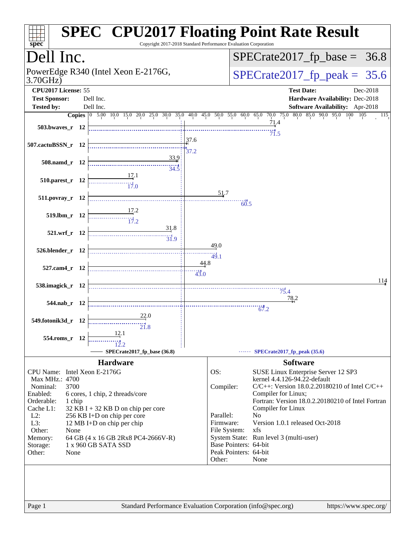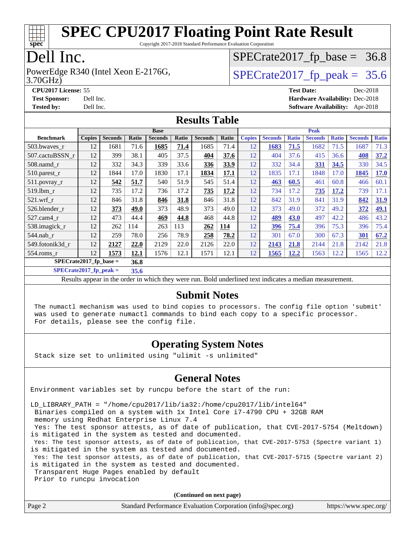

Copyright 2017-2018 Standard Performance Evaluation Corporation

#### Dell Inc.

3.70GHz) PowerEdge R340 (Intel Xeon E-2176G,  $\vert$  [SPECrate2017\\_fp\\_peak =](http://www.spec.org/auto/cpu2017/Docs/result-fields.html#SPECrate2017fppeak) 35.6

 $SPECTate2017_fp\_base = 36.8$ 

**[CPU2017 License:](http://www.spec.org/auto/cpu2017/Docs/result-fields.html#CPU2017License)** 55 **[Test Date:](http://www.spec.org/auto/cpu2017/Docs/result-fields.html#TestDate)** Dec-2018 **[Test Sponsor:](http://www.spec.org/auto/cpu2017/Docs/result-fields.html#TestSponsor)** Dell Inc. **[Hardware Availability:](http://www.spec.org/auto/cpu2017/Docs/result-fields.html#HardwareAvailability)** Dec-2018 **[Tested by:](http://www.spec.org/auto/cpu2017/Docs/result-fields.html#Testedby)** Dell Inc. **[Software Availability:](http://www.spec.org/auto/cpu2017/Docs/result-fields.html#SoftwareAvailability)** Apr-2018

#### **[Results Table](http://www.spec.org/auto/cpu2017/Docs/result-fields.html#ResultsTable)**

|                                  | <b>Base</b>   |                |       |                |       | <b>Peak</b>    |       |               |                |              |                |              |                |              |
|----------------------------------|---------------|----------------|-------|----------------|-------|----------------|-------|---------------|----------------|--------------|----------------|--------------|----------------|--------------|
| <b>Benchmark</b>                 | <b>Copies</b> | <b>Seconds</b> | Ratio | <b>Seconds</b> | Ratio | <b>Seconds</b> | Ratio | <b>Copies</b> | <b>Seconds</b> | <b>Ratio</b> | <b>Seconds</b> | <b>Ratio</b> | <b>Seconds</b> | <b>Ratio</b> |
| 503.bwayes_r                     | 12            | 1681           | 71.6  | 1685           | 71.4  | 1685           | 71.4  | 12            | 1683           | 71.5         | 1682           | 71.5         | 1687           | 71.3         |
| 507.cactuBSSN_r                  | 12            | 399            | 38.1  | 405            | 37.5  | 404            | 37.6  | 12            | 404            | 37.6         | 415            | 36.6         | 408            | 37.2         |
| $508$ .namd $r$                  | 12            | 332            | 34.3  | 339            | 33.6  | 336            | 33.9  | 12            | 332            | 34.4         | 331            | 34.5         | 330            | 34.5         |
| 510.parest_r                     | 12            | 1844           | 17.0  | 1830           | 17.1  | 1834           | 17.1  | 12            | 1835           | 17.1         | 1848           | 17.0         | 1845           | 17.0         |
| 511.povray_r                     | 12            | 542            | 51.7  | 540            | 51.9  | 545            | 51.4  | 12            | 463            | 60.5         | 461            | 60.8         | 466            | 60.1         |
| 519.lbm r                        | 12            | 735            | 17.2  | 736            | 17.2  | 735            | 17.2  | 12            | 734            | 17.2         | 735            | 17.2         | 739            | 17.1         |
| $521$ .wrf r                     | 12            | 846            | 31.8  | 846            | 31.8  | 846            | 31.8  | 12            | 842            | 31.9         | 841            | 31.9         | 842            | 31.9         |
| 526.blender r                    | 12            | 373            | 49.0  | 373            | 48.9  | 373            | 49.0  | 12            | 373            | 49.0         | 372            | 49.2         | 372            | 49.1         |
| $527.cam4_r$                     | 12            | 473            | 44.4  | 469            | 44.8  | 468            | 44.8  | 12            | 489            | 43.0         | 497            | 42.2         | 486            | 43.2         |
| 538.imagick_r                    | 12            | 262            | 114   | 263            | 113   | 262            | 114   | 12            | 396            | 75.4         | 396            | 75.3         | 396            | 75.4         |
| 544.nab r                        | 12            | 259            | 78.0  | 256            | 78.9  | 258            | 78.2  | 12            | 301            | 67.0         | 300            | 67.3         | 301            | 67.2         |
| 549.fotonik3d_r                  | 12            | 2127           | 22.0  | 2129           | 22.0  | 2126           | 22.0  | 12            | 2143           | 21.8         | 2144           | 21.8         | 2142           | 21.8         |
| $554$ .roms r                    | 12            | 1573           | 12.1  | 1576           | 12.1  | 1571           | 12.1  | 12            | 1565           | 12.2         | 1563           | 12.2         | 1565           | 12.2         |
| $SPECrate2017$ fp base =<br>36.8 |               |                |       |                |       |                |       |               |                |              |                |              |                |              |

**[SPECrate2017\\_fp\\_peak =](http://www.spec.org/auto/cpu2017/Docs/result-fields.html#SPECrate2017fppeak) 35.6**

Results appear in the [order in which they were run.](http://www.spec.org/auto/cpu2017/Docs/result-fields.html#RunOrder) Bold underlined text [indicates a median measurement.](http://www.spec.org/auto/cpu2017/Docs/result-fields.html#Median)

#### **[Submit Notes](http://www.spec.org/auto/cpu2017/Docs/result-fields.html#SubmitNotes)**

 The numactl mechanism was used to bind copies to processors. The config file option 'submit' was used to generate numactl commands to bind each copy to a specific processor. For details, please see the config file.

#### **[Operating System Notes](http://www.spec.org/auto/cpu2017/Docs/result-fields.html#OperatingSystemNotes)**

Stack size set to unlimited using "ulimit -s unlimited"

#### **[General Notes](http://www.spec.org/auto/cpu2017/Docs/result-fields.html#GeneralNotes)**

Environment variables set by runcpu before the start of the run:

LD\_LIBRARY\_PATH = "/home/cpu2017/lib/ia32:/home/cpu2017/lib/intel64"

Binaries compiled on a system with 1x Intel Core i7-4790 CPU + 32GB RAM

memory using Redhat Enterprise Linux 7.4

 Yes: The test sponsor attests, as of date of publication, that CVE-2017-5754 (Meltdown) is mitigated in the system as tested and documented.

 Yes: The test sponsor attests, as of date of publication, that CVE-2017-5753 (Spectre variant 1) is mitigated in the system as tested and documented.

 Yes: The test sponsor attests, as of date of publication, that CVE-2017-5715 (Spectre variant 2) is mitigated in the system as tested and documented.

Transparent Huge Pages enabled by default

Prior to runcpu invocation

**(Continued on next page)**

| Page 2 | Standard Performance Evaluation Corporation (info@spec.org) | https://www.spec.org/ |
|--------|-------------------------------------------------------------|-----------------------|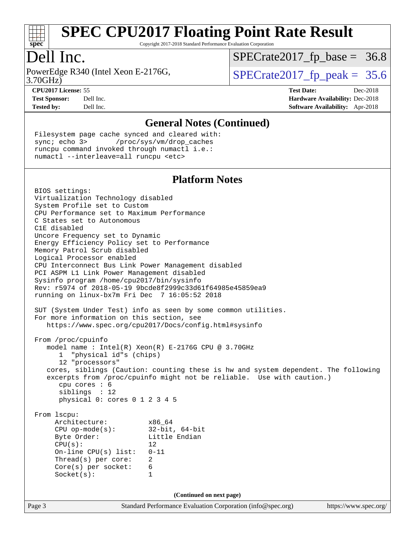

Copyright 2017-2018 Standard Performance Evaluation Corporation

### Dell Inc.

3.70GHz) PowerEdge R340 (Intel Xeon E-2176G,  $\vert$  [SPECrate2017\\_fp\\_peak =](http://www.spec.org/auto/cpu2017/Docs/result-fields.html#SPECrate2017fppeak) 35.6

 $SPECTate2017_fp\_base = 36.8$ 

**[CPU2017 License:](http://www.spec.org/auto/cpu2017/Docs/result-fields.html#CPU2017License)** 55 **[Test Date:](http://www.spec.org/auto/cpu2017/Docs/result-fields.html#TestDate)** Dec-2018 **[Test Sponsor:](http://www.spec.org/auto/cpu2017/Docs/result-fields.html#TestSponsor)** Dell Inc. **[Hardware Availability:](http://www.spec.org/auto/cpu2017/Docs/result-fields.html#HardwareAvailability)** Dec-2018 **[Tested by:](http://www.spec.org/auto/cpu2017/Docs/result-fields.html#Testedby)** Dell Inc. **[Software Availability:](http://www.spec.org/auto/cpu2017/Docs/result-fields.html#SoftwareAvailability)** Apr-2018

#### **[General Notes \(Continued\)](http://www.spec.org/auto/cpu2017/Docs/result-fields.html#GeneralNotes)**

 Filesystem page cache synced and cleared with: sync; echo 3> /proc/sys/vm/drop\_caches runcpu command invoked through numactl i.e.: numactl --interleave=all runcpu <etc>

#### **[Platform Notes](http://www.spec.org/auto/cpu2017/Docs/result-fields.html#PlatformNotes)**

Page 3 Standard Performance Evaluation Corporation [\(info@spec.org\)](mailto:info@spec.org) <https://www.spec.org/> BIOS settings: Virtualization Technology disabled System Profile set to Custom CPU Performance set to Maximum Performance C States set to Autonomous C1E disabled Uncore Frequency set to Dynamic Energy Efficiency Policy set to Performance Memory Patrol Scrub disabled Logical Processor enabled CPU Interconnect Bus Link Power Management disabled PCI ASPM L1 Link Power Management disabled Sysinfo program /home/cpu2017/bin/sysinfo Rev: r5974 of 2018-05-19 9bcde8f2999c33d61f64985e45859ea9 running on linux-bx7m Fri Dec 7 16:05:52 2018 SUT (System Under Test) info as seen by some common utilities. For more information on this section, see <https://www.spec.org/cpu2017/Docs/config.html#sysinfo> From /proc/cpuinfo model name : Intel(R) Xeon(R) E-2176G CPU @ 3.70GHz 1 "physical id"s (chips) 12 "processors" cores, siblings (Caution: counting these is hw and system dependent. The following excerpts from /proc/cpuinfo might not be reliable. Use with caution.) cpu cores : 6 siblings : 12 physical 0: cores 0 1 2 3 4 5 From lscpu: Architecture: x86\_64 CPU op-mode(s): 32-bit, 64-bit Byte Order: Little Endian  $CPU(s):$  12 On-line CPU(s) list: 0-11 Thread(s) per core: 2 Core(s) per socket: 6 Socket(s): 1 **(Continued on next page)**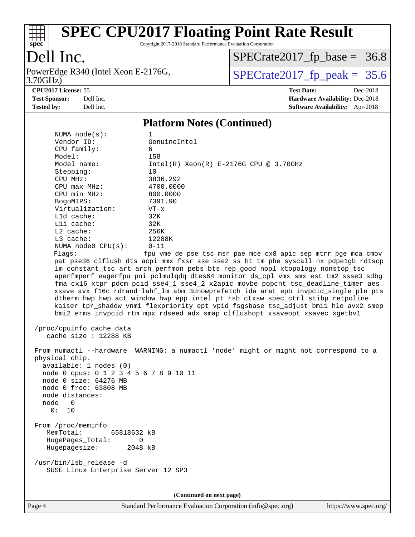

Copyright 2017-2018 Standard Performance Evaluation Corporation

### Dell Inc.

3.70GHz) PowerEdge R340 (Intel Xeon E-2176G,  $\text{SPECrate2017\_fp\_peak} = 35.6$ 

 $SPECrate2017_fp\_base = 36.8$ 

**[CPU2017 License:](http://www.spec.org/auto/cpu2017/Docs/result-fields.html#CPU2017License)** 55 **[Test Date:](http://www.spec.org/auto/cpu2017/Docs/result-fields.html#TestDate)** Dec-2018 **[Test Sponsor:](http://www.spec.org/auto/cpu2017/Docs/result-fields.html#TestSponsor)** Dell Inc. **[Hardware Availability:](http://www.spec.org/auto/cpu2017/Docs/result-fields.html#HardwareAvailability)** Dec-2018 **[Tested by:](http://www.spec.org/auto/cpu2017/Docs/result-fields.html#Testedby)** Dell Inc. **[Software Availability:](http://www.spec.org/auto/cpu2017/Docs/result-fields.html#SoftwareAvailability)** Apr-2018

#### **[Platform Notes \(Continued\)](http://www.spec.org/auto/cpu2017/Docs/result-fields.html#PlatformNotes)**

| NUMA $node(s):$                                                                                                                                                                            | 1                                                                                                                                                                                                                                                                                                                                                                                                                                                                                                                                                                                                                                                                                                                                                               |  |  |  |  |  |
|--------------------------------------------------------------------------------------------------------------------------------------------------------------------------------------------|-----------------------------------------------------------------------------------------------------------------------------------------------------------------------------------------------------------------------------------------------------------------------------------------------------------------------------------------------------------------------------------------------------------------------------------------------------------------------------------------------------------------------------------------------------------------------------------------------------------------------------------------------------------------------------------------------------------------------------------------------------------------|--|--|--|--|--|
| Vendor ID:                                                                                                                                                                                 | GenuineIntel                                                                                                                                                                                                                                                                                                                                                                                                                                                                                                                                                                                                                                                                                                                                                    |  |  |  |  |  |
| CPU family:                                                                                                                                                                                | 6                                                                                                                                                                                                                                                                                                                                                                                                                                                                                                                                                                                                                                                                                                                                                               |  |  |  |  |  |
| Model:                                                                                                                                                                                     | 158                                                                                                                                                                                                                                                                                                                                                                                                                                                                                                                                                                                                                                                                                                                                                             |  |  |  |  |  |
| Model name:                                                                                                                                                                                | $Intel(R) Xeon(R) E-2176G CPU @ 3.70GHz$                                                                                                                                                                                                                                                                                                                                                                                                                                                                                                                                                                                                                                                                                                                        |  |  |  |  |  |
| Stepping:                                                                                                                                                                                  | 10                                                                                                                                                                                                                                                                                                                                                                                                                                                                                                                                                                                                                                                                                                                                                              |  |  |  |  |  |
| CPU MHz:                                                                                                                                                                                   | 3836.292                                                                                                                                                                                                                                                                                                                                                                                                                                                                                                                                                                                                                                                                                                                                                        |  |  |  |  |  |
| $CPU$ $max$ $MHz$ :                                                                                                                                                                        | 4700.0000                                                                                                                                                                                                                                                                                                                                                                                                                                                                                                                                                                                                                                                                                                                                                       |  |  |  |  |  |
| CPU min MHz:                                                                                                                                                                               | 800.0000                                                                                                                                                                                                                                                                                                                                                                                                                                                                                                                                                                                                                                                                                                                                                        |  |  |  |  |  |
| BogoMIPS:                                                                                                                                                                                  | 7391.90                                                                                                                                                                                                                                                                                                                                                                                                                                                                                                                                                                                                                                                                                                                                                         |  |  |  |  |  |
| Virtualization:                                                                                                                                                                            | $VT - x$                                                                                                                                                                                                                                                                                                                                                                                                                                                                                                                                                                                                                                                                                                                                                        |  |  |  |  |  |
| Lld cache:                                                                                                                                                                                 | 32K                                                                                                                                                                                                                                                                                                                                                                                                                                                                                                                                                                                                                                                                                                                                                             |  |  |  |  |  |
| Lli cache:                                                                                                                                                                                 | 32K                                                                                                                                                                                                                                                                                                                                                                                                                                                                                                                                                                                                                                                                                                                                                             |  |  |  |  |  |
| L2 cache:                                                                                                                                                                                  | 256K                                                                                                                                                                                                                                                                                                                                                                                                                                                                                                                                                                                                                                                                                                                                                            |  |  |  |  |  |
| L3 cache:                                                                                                                                                                                  | 12288K                                                                                                                                                                                                                                                                                                                                                                                                                                                                                                                                                                                                                                                                                                                                                          |  |  |  |  |  |
| NUMA node0 CPU(s):                                                                                                                                                                         | $0 - 11$                                                                                                                                                                                                                                                                                                                                                                                                                                                                                                                                                                                                                                                                                                                                                        |  |  |  |  |  |
| Flags:                                                                                                                                                                                     | fpu vme de pse tsc msr pae mce cx8 apic sep mtrr pge mca cmov<br>pat pse36 clflush dts acpi mmx fxsr sse sse2 ss ht tm pbe syscall nx pdpe1gb rdtscp<br>lm constant_tsc art arch_perfmon pebs bts rep_good nopl xtopology nonstop_tsc<br>aperfmperf eagerfpu pni pclmulqdq dtes64 monitor ds_cpl vmx smx est tm2 ssse3 sdbg<br>fma cx16 xtpr pdcm pcid sse4_1 sse4_2 x2apic movbe popcnt tsc_deadline_timer aes<br>xsave avx f16c rdrand lahf_lm abm 3dnowprefetch ida arat epb invpcid_single pln pts<br>dtherm hwp hwp_act_window hwp_epp intel_pt rsb_ctxsw spec_ctrl stibp retpoline<br>kaiser tpr_shadow vnmi flexpriority ept vpid fsgsbase tsc_adjust bmil hle avx2 smep<br>bmi2 erms invpcid rtm mpx rdseed adx smap clflushopt xsaveopt xsavec xgetbvl |  |  |  |  |  |
| /proc/cpuinfo cache data<br>cache size : 12288 KB                                                                                                                                          |                                                                                                                                                                                                                                                                                                                                                                                                                                                                                                                                                                                                                                                                                                                                                                 |  |  |  |  |  |
| physical chip.<br>available: 1 nodes (0)<br>node 0 cpus: 0 1 2 3 4 5 6 7 8 9 10 11<br>node 0 size: 64276 MB<br>node 0 free: 63808 MB<br>node distances:<br>node<br>$\overline{0}$<br>0: 10 | From numactl --hardware WARNING: a numactl 'node' might or might not correspond to a                                                                                                                                                                                                                                                                                                                                                                                                                                                                                                                                                                                                                                                                            |  |  |  |  |  |
| From /proc/meminfo<br>MemTotal:<br>65818632 kB<br>HugePages_Total:<br>0<br>Hugepagesize:<br>2048 kB                                                                                        |                                                                                                                                                                                                                                                                                                                                                                                                                                                                                                                                                                                                                                                                                                                                                                 |  |  |  |  |  |
| /usr/bin/lsb_release -d<br>SUSE Linux Enterprise Server 12 SP3                                                                                                                             |                                                                                                                                                                                                                                                                                                                                                                                                                                                                                                                                                                                                                                                                                                                                                                 |  |  |  |  |  |
| (Continued on next page)                                                                                                                                                                   |                                                                                                                                                                                                                                                                                                                                                                                                                                                                                                                                                                                                                                                                                                                                                                 |  |  |  |  |  |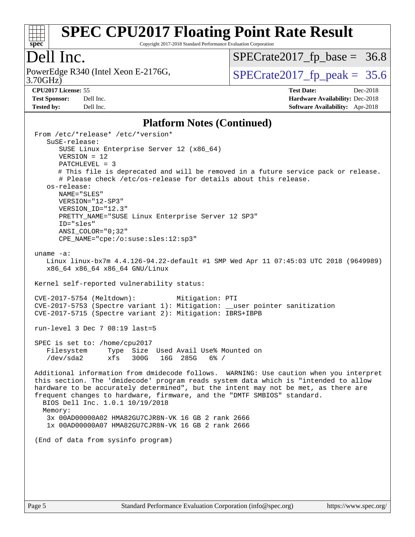

Copyright 2017-2018 Standard Performance Evaluation Corporation

### Dell Inc.

3.70GHz) PowerEdge R340 (Intel Xeon E-2176G,  $\vert$  [SPECrate2017\\_fp\\_peak =](http://www.spec.org/auto/cpu2017/Docs/result-fields.html#SPECrate2017fppeak) 35.6

 $SPECTate2017_fp\_base = 36.8$ 

**[Tested by:](http://www.spec.org/auto/cpu2017/Docs/result-fields.html#Testedby)** Dell Inc. **[Software Availability:](http://www.spec.org/auto/cpu2017/Docs/result-fields.html#SoftwareAvailability)** Apr-2018

**[CPU2017 License:](http://www.spec.org/auto/cpu2017/Docs/result-fields.html#CPU2017License)** 55 **[Test Date:](http://www.spec.org/auto/cpu2017/Docs/result-fields.html#TestDate)** Dec-2018 **[Test Sponsor:](http://www.spec.org/auto/cpu2017/Docs/result-fields.html#TestSponsor)** Dell Inc. **[Hardware Availability:](http://www.spec.org/auto/cpu2017/Docs/result-fields.html#HardwareAvailability)** Dec-2018

#### **[Platform Notes \(Continued\)](http://www.spec.org/auto/cpu2017/Docs/result-fields.html#PlatformNotes)**

 From /etc/\*release\* /etc/\*version\* SuSE-release: SUSE Linux Enterprise Server 12 (x86\_64) VERSION = 12 PATCHLEVEL = 3 # This file is deprecated and will be removed in a future service pack or release. # Please check /etc/os-release for details about this release. os-release: NAME="SLES" VERSION="12-SP3" VERSION\_ID="12.3" PRETTY NAME="SUSE Linux Enterprise Server 12 SP3" ID="sles" ANSI\_COLOR="0;32" CPE\_NAME="cpe:/o:suse:sles:12:sp3" uname -a: Linux linux-bx7m 4.4.126-94.22-default #1 SMP Wed Apr 11 07:45:03 UTC 2018 (9649989) x86\_64 x86\_64 x86\_64 GNU/Linux Kernel self-reported vulnerability status: CVE-2017-5754 (Meltdown): Mitigation: PTI CVE-2017-5753 (Spectre variant 1): Mitigation: \_\_user pointer sanitization CVE-2017-5715 (Spectre variant 2): Mitigation: IBRS+IBPB run-level 3 Dec 7 08:19 last=5 SPEC is set to: /home/cpu2017 Filesystem Type Size Used Avail Use% Mounted on /dev/sda2 xfs 300G 16G 285G 6% / Additional information from dmidecode follows. WARNING: Use caution when you interpret this section. The 'dmidecode' program reads system data which is "intended to allow hardware to be accurately determined", but the intent may not be met, as there are frequent changes to hardware, firmware, and the "DMTF SMBIOS" standard. BIOS Dell Inc. 1.0.1 10/19/2018 Memory: 3x 00AD00000A02 HMA82GU7CJR8N-VK 16 GB 2 rank 2666 1x 00AD00000A07 HMA82GU7CJR8N-VK 16 GB 2 rank 2666 (End of data from sysinfo program)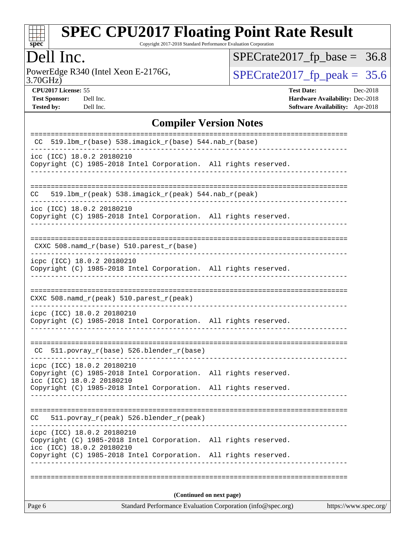

Copyright 2017-2018 Standard Performance Evaluation Corporation

### Dell Inc.

3.70GHz) PowerEdge R340 (Intel Xeon E-2176G,  $\text{SPECrate2017\_fp\_peak} = 35.6$ 

 $SPECrate2017_fp\_base = 36.8$ 

**[Test Sponsor:](http://www.spec.org/auto/cpu2017/Docs/result-fields.html#TestSponsor)** Dell Inc. **[Hardware Availability:](http://www.spec.org/auto/cpu2017/Docs/result-fields.html#HardwareAvailability)** Dec-2018 **[Tested by:](http://www.spec.org/auto/cpu2017/Docs/result-fields.html#Testedby)** Dell Inc. **[Software Availability:](http://www.spec.org/auto/cpu2017/Docs/result-fields.html#SoftwareAvailability)** Apr-2018

**[CPU2017 License:](http://www.spec.org/auto/cpu2017/Docs/result-fields.html#CPU2017License)** 55 **[Test Date:](http://www.spec.org/auto/cpu2017/Docs/result-fields.html#TestDate)** Dec-2018

**[Compiler Version Notes](http://www.spec.org/auto/cpu2017/Docs/result-fields.html#CompilerVersionNotes)**

| $519.1$ bm_r(base) $538.imagick_r(base)$ $544.nab_r(base)$<br>CC                                                                                                                              |                       |
|-----------------------------------------------------------------------------------------------------------------------------------------------------------------------------------------------|-----------------------|
| icc (ICC) 18.0.2 20180210<br>Copyright (C) 1985-2018 Intel Corporation. All rights reserved.                                                                                                  |                       |
| $519.1bm_r(peak) 538.imagick_r(peak) 544.nab_r(peak)$<br>CC.                                                                                                                                  |                       |
| icc (ICC) 18.0.2 20180210<br>Copyright (C) 1985-2018 Intel Corporation. All rights reserved.                                                                                                  |                       |
| CXXC $508.namd_r(base) 510.parest_r(base)$                                                                                                                                                    |                       |
| icpc (ICC) 18.0.2 20180210<br>Copyright (C) 1985-2018 Intel Corporation. All rights reserved.                                                                                                 |                       |
| CXXC 508.namd_r(peak) 510.parest_r(peak)                                                                                                                                                      |                       |
| icpc (ICC) 18.0.2 20180210<br>Copyright (C) 1985-2018 Intel Corporation. All rights reserved.                                                                                                 |                       |
| $CC$ 511.povray $r(base)$ 526.blender $r(base)$                                                                                                                                               |                       |
| icpc (ICC) 18.0.2 20180210<br>Copyright (C) 1985-2018 Intel Corporation. All rights reserved.<br>icc (ICC) 18.0.2 20180210<br>Copyright (C) 1985-2018 Intel Corporation. All rights reserved. |                       |
|                                                                                                                                                                                               |                       |
| 511.povray_r(peak) 526.blender_r(peak)<br>CC.                                                                                                                                                 |                       |
| icpc (ICC) 18.0.2 20180210<br>Copyright (C) 1985-2018 Intel Corporation. All rights reserved.<br>icc (ICC) 18.0.2 20180210                                                                    |                       |
| Copyright (C) 1985-2018 Intel Corporation. All rights reserved.                                                                                                                               |                       |
|                                                                                                                                                                                               |                       |
| (Continued on next page)                                                                                                                                                                      |                       |
| Standard Performance Evaluation Corporation (info@spec.org)<br>Page 6                                                                                                                         | https://www.spec.org/ |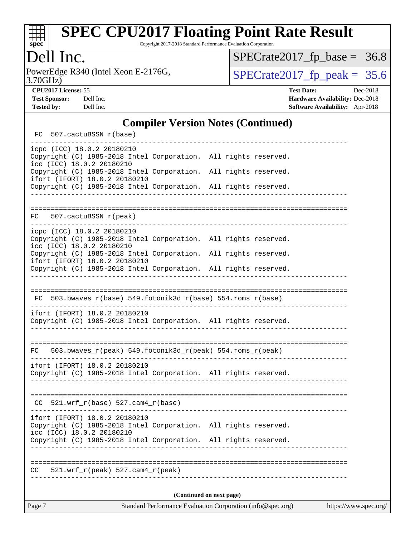

Copyright 2017-2018 Standard Performance Evaluation Corporation

### Dell Inc.

3.70GHz) PowerEdge R340 (Intel Xeon E-2176G,  $\text{SPECrate2017\_fp\_peak} = 35.6$ 

 $SPECrate2017_fp\_base = 36.8$ 

**[CPU2017 License:](http://www.spec.org/auto/cpu2017/Docs/result-fields.html#CPU2017License)** 55 **[Test Date:](http://www.spec.org/auto/cpu2017/Docs/result-fields.html#TestDate)** Dec-2018

**[Test Sponsor:](http://www.spec.org/auto/cpu2017/Docs/result-fields.html#TestSponsor)** Dell Inc. **[Hardware Availability:](http://www.spec.org/auto/cpu2017/Docs/result-fields.html#HardwareAvailability)** Dec-2018 **[Tested by:](http://www.spec.org/auto/cpu2017/Docs/result-fields.html#Testedby)** Dell Inc. **[Software Availability:](http://www.spec.org/auto/cpu2017/Docs/result-fields.html#SoftwareAvailability)** Apr-2018

#### **[Compiler Version Notes \(Continued\)](http://www.spec.org/auto/cpu2017/Docs/result-fields.html#CompilerVersionNotes)**

|                          |  | FC 507.cactuBSSN_r(base)                                                                                                      |  |  |  |  |  |
|--------------------------|--|-------------------------------------------------------------------------------------------------------------------------------|--|--|--|--|--|
|                          |  | icpc (ICC) 18.0.2 20180210<br>Copyright (C) 1985-2018 Intel Corporation. All rights reserved.<br>icc (ICC) 18.0.2 20180210    |  |  |  |  |  |
|                          |  | Copyright (C) 1985-2018 Intel Corporation. All rights reserved.<br>ifort (IFORT) 18.0.2 20180210                              |  |  |  |  |  |
|                          |  | Copyright (C) 1985-2018 Intel Corporation. All rights reserved.                                                               |  |  |  |  |  |
|                          |  |                                                                                                                               |  |  |  |  |  |
|                          |  | FC 507.cactuBSSN_r(peak)                                                                                                      |  |  |  |  |  |
|                          |  | icpc (ICC) 18.0.2 20180210<br>Copyright (C) 1985-2018 Intel Corporation. All rights reserved.<br>icc (ICC) 18.0.2 20180210    |  |  |  |  |  |
|                          |  | Copyright (C) 1985-2018 Intel Corporation. All rights reserved.<br>ifort (IFORT) 18.0.2 20180210                              |  |  |  |  |  |
|                          |  | Copyright (C) 1985-2018 Intel Corporation. All rights reserved.                                                               |  |  |  |  |  |
|                          |  |                                                                                                                               |  |  |  |  |  |
|                          |  | FC 503.bwaves_r(base) 549.fotonik3d_r(base) 554.roms_r(base)                                                                  |  |  |  |  |  |
|                          |  | ifort (IFORT) 18.0.2 20180210<br>Copyright (C) 1985-2018 Intel Corporation. All rights reserved.                              |  |  |  |  |  |
|                          |  |                                                                                                                               |  |  |  |  |  |
| FC                       |  | 503.bwaves_r(peak) 549.fotonik3d_r(peak) 554.roms_r(peak)                                                                     |  |  |  |  |  |
|                          |  | ifort (IFORT) 18.0.2 20180210<br>Copyright (C) 1985-2018 Intel Corporation. All rights reserved.                              |  |  |  |  |  |
|                          |  | $CC$ 521.wrf_r(base) 527.cam4_r(base)                                                                                         |  |  |  |  |  |
|                          |  | ifort (IFORT) 18.0.2 20180210<br>Copyright (C) 1985-2018 Intel Corporation. All rights reserved.<br>icc (ICC) 18.0.2 20180210 |  |  |  |  |  |
|                          |  | Copyright (C) 1985-2018 Intel Corporation. All rights reserved.                                                               |  |  |  |  |  |
| CC                       |  | $521. wrf_r(peak) 527. cam4_r(peak)$                                                                                          |  |  |  |  |  |
| (Continued on next page) |  |                                                                                                                               |  |  |  |  |  |
|                          |  |                                                                                                                               |  |  |  |  |  |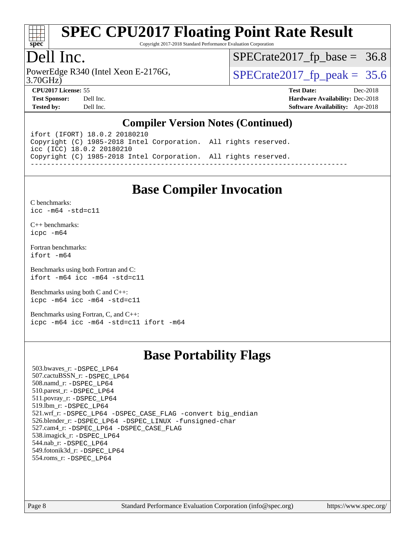

Copyright 2017-2018 Standard Performance Evaluation Corporation

### Dell Inc.

3.70GHz) PowerEdge R340 (Intel Xeon E-2176G,  $\vert$  [SPECrate2017\\_fp\\_peak =](http://www.spec.org/auto/cpu2017/Docs/result-fields.html#SPECrate2017fppeak) 35.6

 $SPECTate2017_fp\_base = 36.8$ 

**[Test Sponsor:](http://www.spec.org/auto/cpu2017/Docs/result-fields.html#TestSponsor)** Dell Inc. **[Hardware Availability:](http://www.spec.org/auto/cpu2017/Docs/result-fields.html#HardwareAvailability)** Dec-2018 **[Tested by:](http://www.spec.org/auto/cpu2017/Docs/result-fields.html#Testedby)** Dell Inc. **[Software Availability:](http://www.spec.org/auto/cpu2017/Docs/result-fields.html#SoftwareAvailability)** Apr-2018

**[CPU2017 License:](http://www.spec.org/auto/cpu2017/Docs/result-fields.html#CPU2017License)** 55 **[Test Date:](http://www.spec.org/auto/cpu2017/Docs/result-fields.html#TestDate)** Dec-2018

**[Compiler Version Notes \(Continued\)](http://www.spec.org/auto/cpu2017/Docs/result-fields.html#CompilerVersionNotes)**

ifort (IFORT) 18.0.2 20180210 Copyright (C) 1985-2018 Intel Corporation. All rights reserved. icc (ICC) 18.0.2 20180210 Copyright (C) 1985-2018 Intel Corporation. All rights reserved. ------------------------------------------------------------------------------

### **[Base Compiler Invocation](http://www.spec.org/auto/cpu2017/Docs/result-fields.html#BaseCompilerInvocation)**

[C benchmarks](http://www.spec.org/auto/cpu2017/Docs/result-fields.html#Cbenchmarks): [icc -m64 -std=c11](http://www.spec.org/cpu2017/results/res2018q4/cpu2017-20181210-10206.flags.html#user_CCbase_intel_icc_64bit_c11_33ee0cdaae7deeeab2a9725423ba97205ce30f63b9926c2519791662299b76a0318f32ddfffdc46587804de3178b4f9328c46fa7c2b0cd779d7a61945c91cd35)

[C++ benchmarks:](http://www.spec.org/auto/cpu2017/Docs/result-fields.html#CXXbenchmarks) [icpc -m64](http://www.spec.org/cpu2017/results/res2018q4/cpu2017-20181210-10206.flags.html#user_CXXbase_intel_icpc_64bit_4ecb2543ae3f1412ef961e0650ca070fec7b7afdcd6ed48761b84423119d1bf6bdf5cad15b44d48e7256388bc77273b966e5eb805aefd121eb22e9299b2ec9d9)

[Fortran benchmarks](http://www.spec.org/auto/cpu2017/Docs/result-fields.html#Fortranbenchmarks): [ifort -m64](http://www.spec.org/cpu2017/results/res2018q4/cpu2017-20181210-10206.flags.html#user_FCbase_intel_ifort_64bit_24f2bb282fbaeffd6157abe4f878425411749daecae9a33200eee2bee2fe76f3b89351d69a8130dd5949958ce389cf37ff59a95e7a40d588e8d3a57e0c3fd751)

[Benchmarks using both Fortran and C](http://www.spec.org/auto/cpu2017/Docs/result-fields.html#BenchmarksusingbothFortranandC): [ifort -m64](http://www.spec.org/cpu2017/results/res2018q4/cpu2017-20181210-10206.flags.html#user_CC_FCbase_intel_ifort_64bit_24f2bb282fbaeffd6157abe4f878425411749daecae9a33200eee2bee2fe76f3b89351d69a8130dd5949958ce389cf37ff59a95e7a40d588e8d3a57e0c3fd751) [icc -m64 -std=c11](http://www.spec.org/cpu2017/results/res2018q4/cpu2017-20181210-10206.flags.html#user_CC_FCbase_intel_icc_64bit_c11_33ee0cdaae7deeeab2a9725423ba97205ce30f63b9926c2519791662299b76a0318f32ddfffdc46587804de3178b4f9328c46fa7c2b0cd779d7a61945c91cd35)

[Benchmarks using both C and C++](http://www.spec.org/auto/cpu2017/Docs/result-fields.html#BenchmarksusingbothCandCXX): [icpc -m64](http://www.spec.org/cpu2017/results/res2018q4/cpu2017-20181210-10206.flags.html#user_CC_CXXbase_intel_icpc_64bit_4ecb2543ae3f1412ef961e0650ca070fec7b7afdcd6ed48761b84423119d1bf6bdf5cad15b44d48e7256388bc77273b966e5eb805aefd121eb22e9299b2ec9d9) [icc -m64 -std=c11](http://www.spec.org/cpu2017/results/res2018q4/cpu2017-20181210-10206.flags.html#user_CC_CXXbase_intel_icc_64bit_c11_33ee0cdaae7deeeab2a9725423ba97205ce30f63b9926c2519791662299b76a0318f32ddfffdc46587804de3178b4f9328c46fa7c2b0cd779d7a61945c91cd35)

[Benchmarks using Fortran, C, and C++:](http://www.spec.org/auto/cpu2017/Docs/result-fields.html#BenchmarksusingFortranCandCXX) [icpc -m64](http://www.spec.org/cpu2017/results/res2018q4/cpu2017-20181210-10206.flags.html#user_CC_CXX_FCbase_intel_icpc_64bit_4ecb2543ae3f1412ef961e0650ca070fec7b7afdcd6ed48761b84423119d1bf6bdf5cad15b44d48e7256388bc77273b966e5eb805aefd121eb22e9299b2ec9d9) [icc -m64 -std=c11](http://www.spec.org/cpu2017/results/res2018q4/cpu2017-20181210-10206.flags.html#user_CC_CXX_FCbase_intel_icc_64bit_c11_33ee0cdaae7deeeab2a9725423ba97205ce30f63b9926c2519791662299b76a0318f32ddfffdc46587804de3178b4f9328c46fa7c2b0cd779d7a61945c91cd35) [ifort -m64](http://www.spec.org/cpu2017/results/res2018q4/cpu2017-20181210-10206.flags.html#user_CC_CXX_FCbase_intel_ifort_64bit_24f2bb282fbaeffd6157abe4f878425411749daecae9a33200eee2bee2fe76f3b89351d69a8130dd5949958ce389cf37ff59a95e7a40d588e8d3a57e0c3fd751)

#### **[Base Portability Flags](http://www.spec.org/auto/cpu2017/Docs/result-fields.html#BasePortabilityFlags)**

 503.bwaves\_r: [-DSPEC\\_LP64](http://www.spec.org/cpu2017/results/res2018q4/cpu2017-20181210-10206.flags.html#suite_basePORTABILITY503_bwaves_r_DSPEC_LP64) 507.cactuBSSN\_r: [-DSPEC\\_LP64](http://www.spec.org/cpu2017/results/res2018q4/cpu2017-20181210-10206.flags.html#suite_basePORTABILITY507_cactuBSSN_r_DSPEC_LP64) 508.namd\_r: [-DSPEC\\_LP64](http://www.spec.org/cpu2017/results/res2018q4/cpu2017-20181210-10206.flags.html#suite_basePORTABILITY508_namd_r_DSPEC_LP64) 510.parest\_r: [-DSPEC\\_LP64](http://www.spec.org/cpu2017/results/res2018q4/cpu2017-20181210-10206.flags.html#suite_basePORTABILITY510_parest_r_DSPEC_LP64) 511.povray\_r: [-DSPEC\\_LP64](http://www.spec.org/cpu2017/results/res2018q4/cpu2017-20181210-10206.flags.html#suite_basePORTABILITY511_povray_r_DSPEC_LP64) 519.lbm\_r: [-DSPEC\\_LP64](http://www.spec.org/cpu2017/results/res2018q4/cpu2017-20181210-10206.flags.html#suite_basePORTABILITY519_lbm_r_DSPEC_LP64) 521.wrf\_r: [-DSPEC\\_LP64](http://www.spec.org/cpu2017/results/res2018q4/cpu2017-20181210-10206.flags.html#suite_basePORTABILITY521_wrf_r_DSPEC_LP64) [-DSPEC\\_CASE\\_FLAG](http://www.spec.org/cpu2017/results/res2018q4/cpu2017-20181210-10206.flags.html#b521.wrf_r_baseCPORTABILITY_DSPEC_CASE_FLAG) [-convert big\\_endian](http://www.spec.org/cpu2017/results/res2018q4/cpu2017-20181210-10206.flags.html#user_baseFPORTABILITY521_wrf_r_convert_big_endian_c3194028bc08c63ac5d04de18c48ce6d347e4e562e8892b8bdbdc0214820426deb8554edfa529a3fb25a586e65a3d812c835984020483e7e73212c4d31a38223) 526.blender\_r: [-DSPEC\\_LP64](http://www.spec.org/cpu2017/results/res2018q4/cpu2017-20181210-10206.flags.html#suite_basePORTABILITY526_blender_r_DSPEC_LP64) [-DSPEC\\_LINUX](http://www.spec.org/cpu2017/results/res2018q4/cpu2017-20181210-10206.flags.html#b526.blender_r_baseCPORTABILITY_DSPEC_LINUX) [-funsigned-char](http://www.spec.org/cpu2017/results/res2018q4/cpu2017-20181210-10206.flags.html#user_baseCPORTABILITY526_blender_r_force_uchar_40c60f00ab013830e2dd6774aeded3ff59883ba5a1fc5fc14077f794d777847726e2a5858cbc7672e36e1b067e7e5c1d9a74f7176df07886a243d7cc18edfe67) 527.cam4\_r: [-DSPEC\\_LP64](http://www.spec.org/cpu2017/results/res2018q4/cpu2017-20181210-10206.flags.html#suite_basePORTABILITY527_cam4_r_DSPEC_LP64) [-DSPEC\\_CASE\\_FLAG](http://www.spec.org/cpu2017/results/res2018q4/cpu2017-20181210-10206.flags.html#b527.cam4_r_baseCPORTABILITY_DSPEC_CASE_FLAG) 538.imagick\_r: [-DSPEC\\_LP64](http://www.spec.org/cpu2017/results/res2018q4/cpu2017-20181210-10206.flags.html#suite_basePORTABILITY538_imagick_r_DSPEC_LP64) 544.nab\_r: [-DSPEC\\_LP64](http://www.spec.org/cpu2017/results/res2018q4/cpu2017-20181210-10206.flags.html#suite_basePORTABILITY544_nab_r_DSPEC_LP64) 549.fotonik3d\_r: [-DSPEC\\_LP64](http://www.spec.org/cpu2017/results/res2018q4/cpu2017-20181210-10206.flags.html#suite_basePORTABILITY549_fotonik3d_r_DSPEC_LP64) 554.roms\_r: [-DSPEC\\_LP64](http://www.spec.org/cpu2017/results/res2018q4/cpu2017-20181210-10206.flags.html#suite_basePORTABILITY554_roms_r_DSPEC_LP64)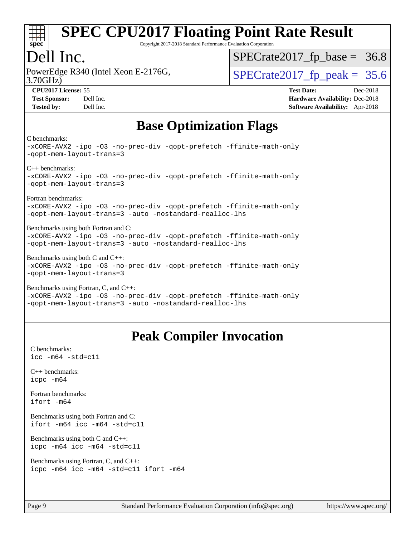

Copyright 2017-2018 Standard Performance Evaluation Corporation

#### Dell Inc.

3.70GHz) PowerEdge R340 (Intel Xeon E-2176G,  $\vert$  [SPECrate2017\\_fp\\_peak =](http://www.spec.org/auto/cpu2017/Docs/result-fields.html#SPECrate2017fppeak) 35.6

 $SPECTate2017_fp\_base = 36.8$ 

**[CPU2017 License:](http://www.spec.org/auto/cpu2017/Docs/result-fields.html#CPU2017License)** 55 **[Test Date:](http://www.spec.org/auto/cpu2017/Docs/result-fields.html#TestDate)** Dec-2018 **[Test Sponsor:](http://www.spec.org/auto/cpu2017/Docs/result-fields.html#TestSponsor)** Dell Inc. **[Hardware Availability:](http://www.spec.org/auto/cpu2017/Docs/result-fields.html#HardwareAvailability)** Dec-2018 **[Tested by:](http://www.spec.org/auto/cpu2017/Docs/result-fields.html#Testedby)** Dell Inc. **[Software Availability:](http://www.spec.org/auto/cpu2017/Docs/result-fields.html#SoftwareAvailability)** Apr-2018

### **[Base Optimization Flags](http://www.spec.org/auto/cpu2017/Docs/result-fields.html#BaseOptimizationFlags)**

[C benchmarks:](http://www.spec.org/auto/cpu2017/Docs/result-fields.html#Cbenchmarks)

[-xCORE-AVX2](http://www.spec.org/cpu2017/results/res2018q4/cpu2017-20181210-10206.flags.html#user_CCbase_f-xCORE-AVX2) [-ipo](http://www.spec.org/cpu2017/results/res2018q4/cpu2017-20181210-10206.flags.html#user_CCbase_f-ipo) [-O3](http://www.spec.org/cpu2017/results/res2018q4/cpu2017-20181210-10206.flags.html#user_CCbase_f-O3) [-no-prec-div](http://www.spec.org/cpu2017/results/res2018q4/cpu2017-20181210-10206.flags.html#user_CCbase_f-no-prec-div) [-qopt-prefetch](http://www.spec.org/cpu2017/results/res2018q4/cpu2017-20181210-10206.flags.html#user_CCbase_f-qopt-prefetch) [-ffinite-math-only](http://www.spec.org/cpu2017/results/res2018q4/cpu2017-20181210-10206.flags.html#user_CCbase_f_finite_math_only_cb91587bd2077682c4b38af759c288ed7c732db004271a9512da14a4f8007909a5f1427ecbf1a0fb78ff2a814402c6114ac565ca162485bbcae155b5e4258871) [-qopt-mem-layout-trans=3](http://www.spec.org/cpu2017/results/res2018q4/cpu2017-20181210-10206.flags.html#user_CCbase_f-qopt-mem-layout-trans_de80db37974c74b1f0e20d883f0b675c88c3b01e9d123adea9b28688d64333345fb62bc4a798493513fdb68f60282f9a726aa07f478b2f7113531aecce732043) [C++ benchmarks](http://www.spec.org/auto/cpu2017/Docs/result-fields.html#CXXbenchmarks): [-xCORE-AVX2](http://www.spec.org/cpu2017/results/res2018q4/cpu2017-20181210-10206.flags.html#user_CXXbase_f-xCORE-AVX2) [-ipo](http://www.spec.org/cpu2017/results/res2018q4/cpu2017-20181210-10206.flags.html#user_CXXbase_f-ipo) [-O3](http://www.spec.org/cpu2017/results/res2018q4/cpu2017-20181210-10206.flags.html#user_CXXbase_f-O3) [-no-prec-div](http://www.spec.org/cpu2017/results/res2018q4/cpu2017-20181210-10206.flags.html#user_CXXbase_f-no-prec-div) [-qopt-prefetch](http://www.spec.org/cpu2017/results/res2018q4/cpu2017-20181210-10206.flags.html#user_CXXbase_f-qopt-prefetch) [-ffinite-math-only](http://www.spec.org/cpu2017/results/res2018q4/cpu2017-20181210-10206.flags.html#user_CXXbase_f_finite_math_only_cb91587bd2077682c4b38af759c288ed7c732db004271a9512da14a4f8007909a5f1427ecbf1a0fb78ff2a814402c6114ac565ca162485bbcae155b5e4258871) [-qopt-mem-layout-trans=3](http://www.spec.org/cpu2017/results/res2018q4/cpu2017-20181210-10206.flags.html#user_CXXbase_f-qopt-mem-layout-trans_de80db37974c74b1f0e20d883f0b675c88c3b01e9d123adea9b28688d64333345fb62bc4a798493513fdb68f60282f9a726aa07f478b2f7113531aecce732043) [Fortran benchmarks:](http://www.spec.org/auto/cpu2017/Docs/result-fields.html#Fortranbenchmarks) [-xCORE-AVX2](http://www.spec.org/cpu2017/results/res2018q4/cpu2017-20181210-10206.flags.html#user_FCbase_f-xCORE-AVX2) [-ipo](http://www.spec.org/cpu2017/results/res2018q4/cpu2017-20181210-10206.flags.html#user_FCbase_f-ipo) [-O3](http://www.spec.org/cpu2017/results/res2018q4/cpu2017-20181210-10206.flags.html#user_FCbase_f-O3) [-no-prec-div](http://www.spec.org/cpu2017/results/res2018q4/cpu2017-20181210-10206.flags.html#user_FCbase_f-no-prec-div) [-qopt-prefetch](http://www.spec.org/cpu2017/results/res2018q4/cpu2017-20181210-10206.flags.html#user_FCbase_f-qopt-prefetch) [-ffinite-math-only](http://www.spec.org/cpu2017/results/res2018q4/cpu2017-20181210-10206.flags.html#user_FCbase_f_finite_math_only_cb91587bd2077682c4b38af759c288ed7c732db004271a9512da14a4f8007909a5f1427ecbf1a0fb78ff2a814402c6114ac565ca162485bbcae155b5e4258871) [-qopt-mem-layout-trans=3](http://www.spec.org/cpu2017/results/res2018q4/cpu2017-20181210-10206.flags.html#user_FCbase_f-qopt-mem-layout-trans_de80db37974c74b1f0e20d883f0b675c88c3b01e9d123adea9b28688d64333345fb62bc4a798493513fdb68f60282f9a726aa07f478b2f7113531aecce732043) [-auto](http://www.spec.org/cpu2017/results/res2018q4/cpu2017-20181210-10206.flags.html#user_FCbase_f-auto) [-nostandard-realloc-lhs](http://www.spec.org/cpu2017/results/res2018q4/cpu2017-20181210-10206.flags.html#user_FCbase_f_2003_std_realloc_82b4557e90729c0f113870c07e44d33d6f5a304b4f63d4c15d2d0f1fab99f5daaed73bdb9275d9ae411527f28b936061aa8b9c8f2d63842963b95c9dd6426b8a) [Benchmarks using both Fortran and C:](http://www.spec.org/auto/cpu2017/Docs/result-fields.html#BenchmarksusingbothFortranandC) [-xCORE-AVX2](http://www.spec.org/cpu2017/results/res2018q4/cpu2017-20181210-10206.flags.html#user_CC_FCbase_f-xCORE-AVX2) [-ipo](http://www.spec.org/cpu2017/results/res2018q4/cpu2017-20181210-10206.flags.html#user_CC_FCbase_f-ipo) [-O3](http://www.spec.org/cpu2017/results/res2018q4/cpu2017-20181210-10206.flags.html#user_CC_FCbase_f-O3) [-no-prec-div](http://www.spec.org/cpu2017/results/res2018q4/cpu2017-20181210-10206.flags.html#user_CC_FCbase_f-no-prec-div) [-qopt-prefetch](http://www.spec.org/cpu2017/results/res2018q4/cpu2017-20181210-10206.flags.html#user_CC_FCbase_f-qopt-prefetch) [-ffinite-math-only](http://www.spec.org/cpu2017/results/res2018q4/cpu2017-20181210-10206.flags.html#user_CC_FCbase_f_finite_math_only_cb91587bd2077682c4b38af759c288ed7c732db004271a9512da14a4f8007909a5f1427ecbf1a0fb78ff2a814402c6114ac565ca162485bbcae155b5e4258871) [-qopt-mem-layout-trans=3](http://www.spec.org/cpu2017/results/res2018q4/cpu2017-20181210-10206.flags.html#user_CC_FCbase_f-qopt-mem-layout-trans_de80db37974c74b1f0e20d883f0b675c88c3b01e9d123adea9b28688d64333345fb62bc4a798493513fdb68f60282f9a726aa07f478b2f7113531aecce732043) [-auto](http://www.spec.org/cpu2017/results/res2018q4/cpu2017-20181210-10206.flags.html#user_CC_FCbase_f-auto) [-nostandard-realloc-lhs](http://www.spec.org/cpu2017/results/res2018q4/cpu2017-20181210-10206.flags.html#user_CC_FCbase_f_2003_std_realloc_82b4557e90729c0f113870c07e44d33d6f5a304b4f63d4c15d2d0f1fab99f5daaed73bdb9275d9ae411527f28b936061aa8b9c8f2d63842963b95c9dd6426b8a) [Benchmarks using both C and C++](http://www.spec.org/auto/cpu2017/Docs/result-fields.html#BenchmarksusingbothCandCXX): [-xCORE-AVX2](http://www.spec.org/cpu2017/results/res2018q4/cpu2017-20181210-10206.flags.html#user_CC_CXXbase_f-xCORE-AVX2) [-ipo](http://www.spec.org/cpu2017/results/res2018q4/cpu2017-20181210-10206.flags.html#user_CC_CXXbase_f-ipo) [-O3](http://www.spec.org/cpu2017/results/res2018q4/cpu2017-20181210-10206.flags.html#user_CC_CXXbase_f-O3) [-no-prec-div](http://www.spec.org/cpu2017/results/res2018q4/cpu2017-20181210-10206.flags.html#user_CC_CXXbase_f-no-prec-div) [-qopt-prefetch](http://www.spec.org/cpu2017/results/res2018q4/cpu2017-20181210-10206.flags.html#user_CC_CXXbase_f-qopt-prefetch) [-ffinite-math-only](http://www.spec.org/cpu2017/results/res2018q4/cpu2017-20181210-10206.flags.html#user_CC_CXXbase_f_finite_math_only_cb91587bd2077682c4b38af759c288ed7c732db004271a9512da14a4f8007909a5f1427ecbf1a0fb78ff2a814402c6114ac565ca162485bbcae155b5e4258871) [-qopt-mem-layout-trans=3](http://www.spec.org/cpu2017/results/res2018q4/cpu2017-20181210-10206.flags.html#user_CC_CXXbase_f-qopt-mem-layout-trans_de80db37974c74b1f0e20d883f0b675c88c3b01e9d123adea9b28688d64333345fb62bc4a798493513fdb68f60282f9a726aa07f478b2f7113531aecce732043) [Benchmarks using Fortran, C, and C++](http://www.spec.org/auto/cpu2017/Docs/result-fields.html#BenchmarksusingFortranCandCXX): [-xCORE-AVX2](http://www.spec.org/cpu2017/results/res2018q4/cpu2017-20181210-10206.flags.html#user_CC_CXX_FCbase_f-xCORE-AVX2) [-ipo](http://www.spec.org/cpu2017/results/res2018q4/cpu2017-20181210-10206.flags.html#user_CC_CXX_FCbase_f-ipo) [-O3](http://www.spec.org/cpu2017/results/res2018q4/cpu2017-20181210-10206.flags.html#user_CC_CXX_FCbase_f-O3) [-no-prec-div](http://www.spec.org/cpu2017/results/res2018q4/cpu2017-20181210-10206.flags.html#user_CC_CXX_FCbase_f-no-prec-div) [-qopt-prefetch](http://www.spec.org/cpu2017/results/res2018q4/cpu2017-20181210-10206.flags.html#user_CC_CXX_FCbase_f-qopt-prefetch) [-ffinite-math-only](http://www.spec.org/cpu2017/results/res2018q4/cpu2017-20181210-10206.flags.html#user_CC_CXX_FCbase_f_finite_math_only_cb91587bd2077682c4b38af759c288ed7c732db004271a9512da14a4f8007909a5f1427ecbf1a0fb78ff2a814402c6114ac565ca162485bbcae155b5e4258871)

#### [-qopt-mem-layout-trans=3](http://www.spec.org/cpu2017/results/res2018q4/cpu2017-20181210-10206.flags.html#user_CC_CXX_FCbase_f-qopt-mem-layout-trans_de80db37974c74b1f0e20d883f0b675c88c3b01e9d123adea9b28688d64333345fb62bc4a798493513fdb68f60282f9a726aa07f478b2f7113531aecce732043) [-auto](http://www.spec.org/cpu2017/results/res2018q4/cpu2017-20181210-10206.flags.html#user_CC_CXX_FCbase_f-auto) [-nostandard-realloc-lhs](http://www.spec.org/cpu2017/results/res2018q4/cpu2017-20181210-10206.flags.html#user_CC_CXX_FCbase_f_2003_std_realloc_82b4557e90729c0f113870c07e44d33d6f5a304b4f63d4c15d2d0f1fab99f5daaed73bdb9275d9ae411527f28b936061aa8b9c8f2d63842963b95c9dd6426b8a)

### **[Peak Compiler Invocation](http://www.spec.org/auto/cpu2017/Docs/result-fields.html#PeakCompilerInvocation)**

[C benchmarks](http://www.spec.org/auto/cpu2017/Docs/result-fields.html#Cbenchmarks): [icc -m64 -std=c11](http://www.spec.org/cpu2017/results/res2018q4/cpu2017-20181210-10206.flags.html#user_CCpeak_intel_icc_64bit_c11_33ee0cdaae7deeeab2a9725423ba97205ce30f63b9926c2519791662299b76a0318f32ddfffdc46587804de3178b4f9328c46fa7c2b0cd779d7a61945c91cd35)

[C++ benchmarks:](http://www.spec.org/auto/cpu2017/Docs/result-fields.html#CXXbenchmarks) [icpc -m64](http://www.spec.org/cpu2017/results/res2018q4/cpu2017-20181210-10206.flags.html#user_CXXpeak_intel_icpc_64bit_4ecb2543ae3f1412ef961e0650ca070fec7b7afdcd6ed48761b84423119d1bf6bdf5cad15b44d48e7256388bc77273b966e5eb805aefd121eb22e9299b2ec9d9)

[Fortran benchmarks](http://www.spec.org/auto/cpu2017/Docs/result-fields.html#Fortranbenchmarks): [ifort -m64](http://www.spec.org/cpu2017/results/res2018q4/cpu2017-20181210-10206.flags.html#user_FCpeak_intel_ifort_64bit_24f2bb282fbaeffd6157abe4f878425411749daecae9a33200eee2bee2fe76f3b89351d69a8130dd5949958ce389cf37ff59a95e7a40d588e8d3a57e0c3fd751)

[Benchmarks using both Fortran and C](http://www.spec.org/auto/cpu2017/Docs/result-fields.html#BenchmarksusingbothFortranandC): [ifort -m64](http://www.spec.org/cpu2017/results/res2018q4/cpu2017-20181210-10206.flags.html#user_CC_FCpeak_intel_ifort_64bit_24f2bb282fbaeffd6157abe4f878425411749daecae9a33200eee2bee2fe76f3b89351d69a8130dd5949958ce389cf37ff59a95e7a40d588e8d3a57e0c3fd751) [icc -m64 -std=c11](http://www.spec.org/cpu2017/results/res2018q4/cpu2017-20181210-10206.flags.html#user_CC_FCpeak_intel_icc_64bit_c11_33ee0cdaae7deeeab2a9725423ba97205ce30f63b9926c2519791662299b76a0318f32ddfffdc46587804de3178b4f9328c46fa7c2b0cd779d7a61945c91cd35)

[Benchmarks using both C and C++](http://www.spec.org/auto/cpu2017/Docs/result-fields.html#BenchmarksusingbothCandCXX): [icpc -m64](http://www.spec.org/cpu2017/results/res2018q4/cpu2017-20181210-10206.flags.html#user_CC_CXXpeak_intel_icpc_64bit_4ecb2543ae3f1412ef961e0650ca070fec7b7afdcd6ed48761b84423119d1bf6bdf5cad15b44d48e7256388bc77273b966e5eb805aefd121eb22e9299b2ec9d9) [icc -m64 -std=c11](http://www.spec.org/cpu2017/results/res2018q4/cpu2017-20181210-10206.flags.html#user_CC_CXXpeak_intel_icc_64bit_c11_33ee0cdaae7deeeab2a9725423ba97205ce30f63b9926c2519791662299b76a0318f32ddfffdc46587804de3178b4f9328c46fa7c2b0cd779d7a61945c91cd35)

[Benchmarks using Fortran, C, and C++:](http://www.spec.org/auto/cpu2017/Docs/result-fields.html#BenchmarksusingFortranCandCXX) [icpc -m64](http://www.spec.org/cpu2017/results/res2018q4/cpu2017-20181210-10206.flags.html#user_CC_CXX_FCpeak_intel_icpc_64bit_4ecb2543ae3f1412ef961e0650ca070fec7b7afdcd6ed48761b84423119d1bf6bdf5cad15b44d48e7256388bc77273b966e5eb805aefd121eb22e9299b2ec9d9) [icc -m64 -std=c11](http://www.spec.org/cpu2017/results/res2018q4/cpu2017-20181210-10206.flags.html#user_CC_CXX_FCpeak_intel_icc_64bit_c11_33ee0cdaae7deeeab2a9725423ba97205ce30f63b9926c2519791662299b76a0318f32ddfffdc46587804de3178b4f9328c46fa7c2b0cd779d7a61945c91cd35) [ifort -m64](http://www.spec.org/cpu2017/results/res2018q4/cpu2017-20181210-10206.flags.html#user_CC_CXX_FCpeak_intel_ifort_64bit_24f2bb282fbaeffd6157abe4f878425411749daecae9a33200eee2bee2fe76f3b89351d69a8130dd5949958ce389cf37ff59a95e7a40d588e8d3a57e0c3fd751)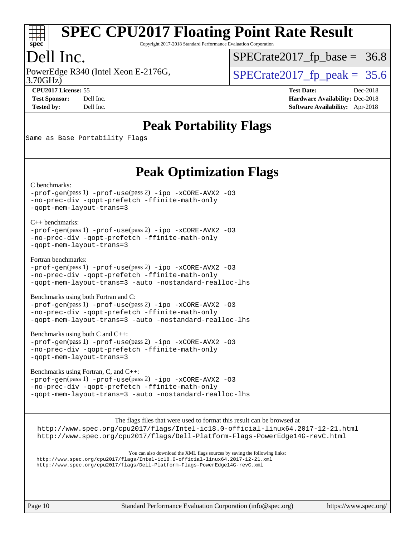

Copyright 2017-2018 Standard Performance Evaluation Corporation

### Dell Inc.

3.70GHz) PowerEdge R340 (Intel Xeon E-2176G,  $\vert$  [SPECrate2017\\_fp\\_peak =](http://www.spec.org/auto/cpu2017/Docs/result-fields.html#SPECrate2017fppeak) 35.6

 $SPECTate2017_fp\_base = 36.8$ 

**[CPU2017 License:](http://www.spec.org/auto/cpu2017/Docs/result-fields.html#CPU2017License)** 55 **[Test Date:](http://www.spec.org/auto/cpu2017/Docs/result-fields.html#TestDate)** Dec-2018 **[Test Sponsor:](http://www.spec.org/auto/cpu2017/Docs/result-fields.html#TestSponsor)** Dell Inc. **[Hardware Availability:](http://www.spec.org/auto/cpu2017/Docs/result-fields.html#HardwareAvailability)** Dec-2018 **[Tested by:](http://www.spec.org/auto/cpu2017/Docs/result-fields.html#Testedby)** Dell Inc. **[Software Availability:](http://www.spec.org/auto/cpu2017/Docs/result-fields.html#SoftwareAvailability)** Apr-2018

### **[Peak Portability Flags](http://www.spec.org/auto/cpu2017/Docs/result-fields.html#PeakPortabilityFlags)**

Same as Base Portability Flags

### **[Peak Optimization Flags](http://www.spec.org/auto/cpu2017/Docs/result-fields.html#PeakOptimizationFlags)**

[C benchmarks](http://www.spec.org/auto/cpu2017/Docs/result-fields.html#Cbenchmarks):

[-prof-gen](http://www.spec.org/cpu2017/results/res2018q4/cpu2017-20181210-10206.flags.html#user_CCpeak_prof_gen_5aa4926d6013ddb2a31985c654b3eb18169fc0c6952a63635c234f711e6e63dd76e94ad52365559451ec499a2cdb89e4dc58ba4c67ef54ca681ffbe1461d6b36)(pass 1) [-prof-use](http://www.spec.org/cpu2017/results/res2018q4/cpu2017-20181210-10206.flags.html#user_CCpeak_prof_use_1a21ceae95f36a2b53c25747139a6c16ca95bd9def2a207b4f0849963b97e94f5260e30a0c64f4bb623698870e679ca08317ef8150905d41bd88c6f78df73f19)(pass 2) [-ipo](http://www.spec.org/cpu2017/results/res2018q4/cpu2017-20181210-10206.flags.html#user_CCpeak_f-ipo) [-xCORE-AVX2](http://www.spec.org/cpu2017/results/res2018q4/cpu2017-20181210-10206.flags.html#user_CCpeak_f-xCORE-AVX2) [-O3](http://www.spec.org/cpu2017/results/res2018q4/cpu2017-20181210-10206.flags.html#user_CCpeak_f-O3) [-no-prec-div](http://www.spec.org/cpu2017/results/res2018q4/cpu2017-20181210-10206.flags.html#user_CCpeak_f-no-prec-div) [-qopt-prefetch](http://www.spec.org/cpu2017/results/res2018q4/cpu2017-20181210-10206.flags.html#user_CCpeak_f-qopt-prefetch) [-ffinite-math-only](http://www.spec.org/cpu2017/results/res2018q4/cpu2017-20181210-10206.flags.html#user_CCpeak_f_finite_math_only_cb91587bd2077682c4b38af759c288ed7c732db004271a9512da14a4f8007909a5f1427ecbf1a0fb78ff2a814402c6114ac565ca162485bbcae155b5e4258871) [-qopt-mem-layout-trans=3](http://www.spec.org/cpu2017/results/res2018q4/cpu2017-20181210-10206.flags.html#user_CCpeak_f-qopt-mem-layout-trans_de80db37974c74b1f0e20d883f0b675c88c3b01e9d123adea9b28688d64333345fb62bc4a798493513fdb68f60282f9a726aa07f478b2f7113531aecce732043)

[C++ benchmarks:](http://www.spec.org/auto/cpu2017/Docs/result-fields.html#CXXbenchmarks) [-prof-gen](http://www.spec.org/cpu2017/results/res2018q4/cpu2017-20181210-10206.flags.html#user_CXXpeak_prof_gen_5aa4926d6013ddb2a31985c654b3eb18169fc0c6952a63635c234f711e6e63dd76e94ad52365559451ec499a2cdb89e4dc58ba4c67ef54ca681ffbe1461d6b36)(pass 1) [-prof-use](http://www.spec.org/cpu2017/results/res2018q4/cpu2017-20181210-10206.flags.html#user_CXXpeak_prof_use_1a21ceae95f36a2b53c25747139a6c16ca95bd9def2a207b4f0849963b97e94f5260e30a0c64f4bb623698870e679ca08317ef8150905d41bd88c6f78df73f19)(pass 2) [-ipo](http://www.spec.org/cpu2017/results/res2018q4/cpu2017-20181210-10206.flags.html#user_CXXpeak_f-ipo) [-xCORE-AVX2](http://www.spec.org/cpu2017/results/res2018q4/cpu2017-20181210-10206.flags.html#user_CXXpeak_f-xCORE-AVX2) [-O3](http://www.spec.org/cpu2017/results/res2018q4/cpu2017-20181210-10206.flags.html#user_CXXpeak_f-O3) [-no-prec-div](http://www.spec.org/cpu2017/results/res2018q4/cpu2017-20181210-10206.flags.html#user_CXXpeak_f-no-prec-div) [-qopt-prefetch](http://www.spec.org/cpu2017/results/res2018q4/cpu2017-20181210-10206.flags.html#user_CXXpeak_f-qopt-prefetch) [-ffinite-math-only](http://www.spec.org/cpu2017/results/res2018q4/cpu2017-20181210-10206.flags.html#user_CXXpeak_f_finite_math_only_cb91587bd2077682c4b38af759c288ed7c732db004271a9512da14a4f8007909a5f1427ecbf1a0fb78ff2a814402c6114ac565ca162485bbcae155b5e4258871) [-qopt-mem-layout-trans=3](http://www.spec.org/cpu2017/results/res2018q4/cpu2017-20181210-10206.flags.html#user_CXXpeak_f-qopt-mem-layout-trans_de80db37974c74b1f0e20d883f0b675c88c3b01e9d123adea9b28688d64333345fb62bc4a798493513fdb68f60282f9a726aa07f478b2f7113531aecce732043)

[Fortran benchmarks](http://www.spec.org/auto/cpu2017/Docs/result-fields.html#Fortranbenchmarks):

[-prof-gen](http://www.spec.org/cpu2017/results/res2018q4/cpu2017-20181210-10206.flags.html#user_FCpeak_prof_gen_5aa4926d6013ddb2a31985c654b3eb18169fc0c6952a63635c234f711e6e63dd76e94ad52365559451ec499a2cdb89e4dc58ba4c67ef54ca681ffbe1461d6b36)(pass 1) [-prof-use](http://www.spec.org/cpu2017/results/res2018q4/cpu2017-20181210-10206.flags.html#user_FCpeak_prof_use_1a21ceae95f36a2b53c25747139a6c16ca95bd9def2a207b4f0849963b97e94f5260e30a0c64f4bb623698870e679ca08317ef8150905d41bd88c6f78df73f19)(pass 2) [-ipo](http://www.spec.org/cpu2017/results/res2018q4/cpu2017-20181210-10206.flags.html#user_FCpeak_f-ipo) [-xCORE-AVX2](http://www.spec.org/cpu2017/results/res2018q4/cpu2017-20181210-10206.flags.html#user_FCpeak_f-xCORE-AVX2) [-O3](http://www.spec.org/cpu2017/results/res2018q4/cpu2017-20181210-10206.flags.html#user_FCpeak_f-O3) [-no-prec-div](http://www.spec.org/cpu2017/results/res2018q4/cpu2017-20181210-10206.flags.html#user_FCpeak_f-no-prec-div) [-qopt-prefetch](http://www.spec.org/cpu2017/results/res2018q4/cpu2017-20181210-10206.flags.html#user_FCpeak_f-qopt-prefetch) [-ffinite-math-only](http://www.spec.org/cpu2017/results/res2018q4/cpu2017-20181210-10206.flags.html#user_FCpeak_f_finite_math_only_cb91587bd2077682c4b38af759c288ed7c732db004271a9512da14a4f8007909a5f1427ecbf1a0fb78ff2a814402c6114ac565ca162485bbcae155b5e4258871) [-qopt-mem-layout-trans=3](http://www.spec.org/cpu2017/results/res2018q4/cpu2017-20181210-10206.flags.html#user_FCpeak_f-qopt-mem-layout-trans_de80db37974c74b1f0e20d883f0b675c88c3b01e9d123adea9b28688d64333345fb62bc4a798493513fdb68f60282f9a726aa07f478b2f7113531aecce732043) [-auto](http://www.spec.org/cpu2017/results/res2018q4/cpu2017-20181210-10206.flags.html#user_FCpeak_f-auto) [-nostandard-realloc-lhs](http://www.spec.org/cpu2017/results/res2018q4/cpu2017-20181210-10206.flags.html#user_FCpeak_f_2003_std_realloc_82b4557e90729c0f113870c07e44d33d6f5a304b4f63d4c15d2d0f1fab99f5daaed73bdb9275d9ae411527f28b936061aa8b9c8f2d63842963b95c9dd6426b8a)

[Benchmarks using both Fortran and C](http://www.spec.org/auto/cpu2017/Docs/result-fields.html#BenchmarksusingbothFortranandC):

[-prof-gen](http://www.spec.org/cpu2017/results/res2018q4/cpu2017-20181210-10206.flags.html#user_CC_FCpeak_prof_gen_5aa4926d6013ddb2a31985c654b3eb18169fc0c6952a63635c234f711e6e63dd76e94ad52365559451ec499a2cdb89e4dc58ba4c67ef54ca681ffbe1461d6b36)(pass 1) [-prof-use](http://www.spec.org/cpu2017/results/res2018q4/cpu2017-20181210-10206.flags.html#user_CC_FCpeak_prof_use_1a21ceae95f36a2b53c25747139a6c16ca95bd9def2a207b4f0849963b97e94f5260e30a0c64f4bb623698870e679ca08317ef8150905d41bd88c6f78df73f19)(pass 2) [-ipo](http://www.spec.org/cpu2017/results/res2018q4/cpu2017-20181210-10206.flags.html#user_CC_FCpeak_f-ipo) [-xCORE-AVX2](http://www.spec.org/cpu2017/results/res2018q4/cpu2017-20181210-10206.flags.html#user_CC_FCpeak_f-xCORE-AVX2) [-O3](http://www.spec.org/cpu2017/results/res2018q4/cpu2017-20181210-10206.flags.html#user_CC_FCpeak_f-O3) [-no-prec-div](http://www.spec.org/cpu2017/results/res2018q4/cpu2017-20181210-10206.flags.html#user_CC_FCpeak_f-no-prec-div) [-qopt-prefetch](http://www.spec.org/cpu2017/results/res2018q4/cpu2017-20181210-10206.flags.html#user_CC_FCpeak_f-qopt-prefetch) [-ffinite-math-only](http://www.spec.org/cpu2017/results/res2018q4/cpu2017-20181210-10206.flags.html#user_CC_FCpeak_f_finite_math_only_cb91587bd2077682c4b38af759c288ed7c732db004271a9512da14a4f8007909a5f1427ecbf1a0fb78ff2a814402c6114ac565ca162485bbcae155b5e4258871) [-qopt-mem-layout-trans=3](http://www.spec.org/cpu2017/results/res2018q4/cpu2017-20181210-10206.flags.html#user_CC_FCpeak_f-qopt-mem-layout-trans_de80db37974c74b1f0e20d883f0b675c88c3b01e9d123adea9b28688d64333345fb62bc4a798493513fdb68f60282f9a726aa07f478b2f7113531aecce732043) [-auto](http://www.spec.org/cpu2017/results/res2018q4/cpu2017-20181210-10206.flags.html#user_CC_FCpeak_f-auto) [-nostandard-realloc-lhs](http://www.spec.org/cpu2017/results/res2018q4/cpu2017-20181210-10206.flags.html#user_CC_FCpeak_f_2003_std_realloc_82b4557e90729c0f113870c07e44d33d6f5a304b4f63d4c15d2d0f1fab99f5daaed73bdb9275d9ae411527f28b936061aa8b9c8f2d63842963b95c9dd6426b8a)

[Benchmarks using both C and C++](http://www.spec.org/auto/cpu2017/Docs/result-fields.html#BenchmarksusingbothCandCXX): [-prof-gen](http://www.spec.org/cpu2017/results/res2018q4/cpu2017-20181210-10206.flags.html#user_CC_CXXpeak_prof_gen_5aa4926d6013ddb2a31985c654b3eb18169fc0c6952a63635c234f711e6e63dd76e94ad52365559451ec499a2cdb89e4dc58ba4c67ef54ca681ffbe1461d6b36)(pass 1) [-prof-use](http://www.spec.org/cpu2017/results/res2018q4/cpu2017-20181210-10206.flags.html#user_CC_CXXpeak_prof_use_1a21ceae95f36a2b53c25747139a6c16ca95bd9def2a207b4f0849963b97e94f5260e30a0c64f4bb623698870e679ca08317ef8150905d41bd88c6f78df73f19)(pass 2) [-ipo](http://www.spec.org/cpu2017/results/res2018q4/cpu2017-20181210-10206.flags.html#user_CC_CXXpeak_f-ipo) [-xCORE-AVX2](http://www.spec.org/cpu2017/results/res2018q4/cpu2017-20181210-10206.flags.html#user_CC_CXXpeak_f-xCORE-AVX2) [-O3](http://www.spec.org/cpu2017/results/res2018q4/cpu2017-20181210-10206.flags.html#user_CC_CXXpeak_f-O3) [-no-prec-div](http://www.spec.org/cpu2017/results/res2018q4/cpu2017-20181210-10206.flags.html#user_CC_CXXpeak_f-no-prec-div) [-qopt-prefetch](http://www.spec.org/cpu2017/results/res2018q4/cpu2017-20181210-10206.flags.html#user_CC_CXXpeak_f-qopt-prefetch) [-ffinite-math-only](http://www.spec.org/cpu2017/results/res2018q4/cpu2017-20181210-10206.flags.html#user_CC_CXXpeak_f_finite_math_only_cb91587bd2077682c4b38af759c288ed7c732db004271a9512da14a4f8007909a5f1427ecbf1a0fb78ff2a814402c6114ac565ca162485bbcae155b5e4258871) [-qopt-mem-layout-trans=3](http://www.spec.org/cpu2017/results/res2018q4/cpu2017-20181210-10206.flags.html#user_CC_CXXpeak_f-qopt-mem-layout-trans_de80db37974c74b1f0e20d883f0b675c88c3b01e9d123adea9b28688d64333345fb62bc4a798493513fdb68f60282f9a726aa07f478b2f7113531aecce732043)

[Benchmarks using Fortran, C, and C++:](http://www.spec.org/auto/cpu2017/Docs/result-fields.html#BenchmarksusingFortranCandCXX) [-prof-gen](http://www.spec.org/cpu2017/results/res2018q4/cpu2017-20181210-10206.flags.html#user_CC_CXX_FCpeak_prof_gen_5aa4926d6013ddb2a31985c654b3eb18169fc0c6952a63635c234f711e6e63dd76e94ad52365559451ec499a2cdb89e4dc58ba4c67ef54ca681ffbe1461d6b36)(pass 1) [-prof-use](http://www.spec.org/cpu2017/results/res2018q4/cpu2017-20181210-10206.flags.html#user_CC_CXX_FCpeak_prof_use_1a21ceae95f36a2b53c25747139a6c16ca95bd9def2a207b4f0849963b97e94f5260e30a0c64f4bb623698870e679ca08317ef8150905d41bd88c6f78df73f19)(pass 2) [-ipo](http://www.spec.org/cpu2017/results/res2018q4/cpu2017-20181210-10206.flags.html#user_CC_CXX_FCpeak_f-ipo) [-xCORE-AVX2](http://www.spec.org/cpu2017/results/res2018q4/cpu2017-20181210-10206.flags.html#user_CC_CXX_FCpeak_f-xCORE-AVX2) [-O3](http://www.spec.org/cpu2017/results/res2018q4/cpu2017-20181210-10206.flags.html#user_CC_CXX_FCpeak_f-O3) [-no-prec-div](http://www.spec.org/cpu2017/results/res2018q4/cpu2017-20181210-10206.flags.html#user_CC_CXX_FCpeak_f-no-prec-div) [-qopt-prefetch](http://www.spec.org/cpu2017/results/res2018q4/cpu2017-20181210-10206.flags.html#user_CC_CXX_FCpeak_f-qopt-prefetch) [-ffinite-math-only](http://www.spec.org/cpu2017/results/res2018q4/cpu2017-20181210-10206.flags.html#user_CC_CXX_FCpeak_f_finite_math_only_cb91587bd2077682c4b38af759c288ed7c732db004271a9512da14a4f8007909a5f1427ecbf1a0fb78ff2a814402c6114ac565ca162485bbcae155b5e4258871) [-qopt-mem-layout-trans=3](http://www.spec.org/cpu2017/results/res2018q4/cpu2017-20181210-10206.flags.html#user_CC_CXX_FCpeak_f-qopt-mem-layout-trans_de80db37974c74b1f0e20d883f0b675c88c3b01e9d123adea9b28688d64333345fb62bc4a798493513fdb68f60282f9a726aa07f478b2f7113531aecce732043) [-auto](http://www.spec.org/cpu2017/results/res2018q4/cpu2017-20181210-10206.flags.html#user_CC_CXX_FCpeak_f-auto) [-nostandard-realloc-lhs](http://www.spec.org/cpu2017/results/res2018q4/cpu2017-20181210-10206.flags.html#user_CC_CXX_FCpeak_f_2003_std_realloc_82b4557e90729c0f113870c07e44d33d6f5a304b4f63d4c15d2d0f1fab99f5daaed73bdb9275d9ae411527f28b936061aa8b9c8f2d63842963b95c9dd6426b8a)

The flags files that were used to format this result can be browsed at <http://www.spec.org/cpu2017/flags/Intel-ic18.0-official-linux64.2017-12-21.html> <http://www.spec.org/cpu2017/flags/Dell-Platform-Flags-PowerEdge14G-revC.html>

You can also download the XML flags sources by saving the following links: <http://www.spec.org/cpu2017/flags/Intel-ic18.0-official-linux64.2017-12-21.xml> <http://www.spec.org/cpu2017/flags/Dell-Platform-Flags-PowerEdge14G-revC.xml>